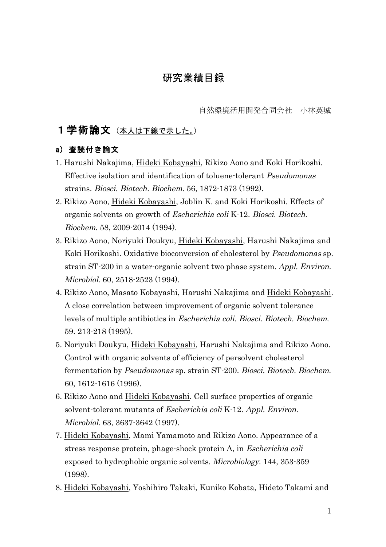# 研究業績目録

自然環境活用開発合同会社 小林英城

## 1学術論文(本人は下線で示した。)

#### a) 査読付き論文

- 1. Harushi Nakajima, Hideki Kobayashi, Rikizo Aono and Koki Horikoshi. Effective isolation and identification of toluene-tolerant Pseudomonas strains. Biosci. Biotech. Biochem. 56, 1872-1873 (1992).
- 2. Rikizo Aono, Hideki Kobayashi, Joblin K. and Koki Horikoshi. Effects of organic solvents on growth of Escherichia coli K-12. Biosci. Biotech. Biochem. 58, 2009-2014 (1994).
- 3. Rikizo Aono, Noriyuki Doukyu, Hideki Kobayashi, Harushi Nakajima and Koki Horikoshi. Oxidative bioconversion of cholesterol by Pseudomonas sp. strain ST-200 in a water-organic solvent two phase system. Appl. Environ. Microbiol. 60, 2518-2523 (1994).
- 4. Rikizo Aono, Masato Kobayashi, Harushi Nakajima and Hideki Kobayashi. A close correlation between improvement of organic solvent tolerance levels of multiple antibiotics in Escherichia coli. Biosci. Biotech. Biochem. 59. 213-218 (1995).
- 5. Noriyuki Doukyu, Hideki Kobayashi, Harushi Nakajima and Rikizo Aono. Control with organic solvents of efficiency of persolvent cholesterol fermentation by Pseudomonas sp. strain ST-200. Biosci. Biotech. Biochem. 60, 1612-1616 (1996).
- 6. Rikizo Aono and Hideki Kobayashi. Cell surface properties of organic solvent-tolerant mutants of Escherichia coli K-12. Appl. Environ. Microbiol. 63, 3637-3642 (1997).
- 7. Hideki Kobayashi, Mami Yamamoto and Rikizo Aono. Appearance of a stress response protein, phage-shock protein A, in Escherichia coli exposed to hydrophobic organic solvents. Microbiology. 144, 353-359 (1998).
- 8. Hideki Kobayashi, Yoshihiro Takaki, Kuniko Kobata, Hideto Takami and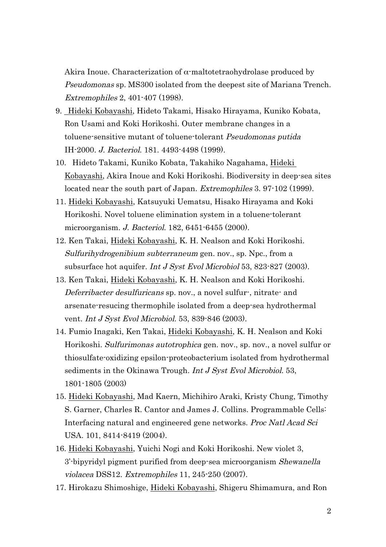Akira Inoue. Characterization of  $\alpha$ -maltotetraohydrolase produced by Pseudomonas sp. MS300 isolated from the deepest site of Mariana Trench. Extremophiles 2, 401-407 (1998).

- 9. Hideki Kobayashi, Hideto Takami, Hisako Hirayama, Kuniko Kobata, Ron Usami and Koki Horikoshi. Outer membrane changes in a toluene-sensitive mutant of toluene-tolerant Pseudomonas putida IH-2000. J. Bacteriol. 181. 4493-4498 (1999).
- 10. Hideto Takami, Kuniko Kobata, Takahiko Nagahama, Hideki Kobayashi, Akira Inoue and Koki Horikoshi. Biodiversity in deep-sea sites located near the south part of Japan. *Extremophiles* 3. 97-102 (1999).
- 11. Hideki Kobayashi, Katsuyuki Uematsu, Hisako Hirayama and Koki Horikoshi. Novel toluene elimination system in a toluene-tolerant microorganism. J. Bacteriol. 182, 6451-6455 (2000).
- 12. Ken Takai, Hideki Kobayashi, K. H. Nealson and Koki Horikoshi. Sulfurihydrogenibium subterraneum gen. nov., sp. Npc., from a subsurface hot aquifer. Int J Syst Evol Microbiol 53, 823-827 (2003).
- 13. Ken Takai, Hideki Kobayashi, K. H. Nealson and Koki Horikoshi. Deferribacter desulfuricans sp. nov., a novel sulfur-, nitrate- and arsenate-resucing thermophile isolated from a deep-sea hydrothermal vent. Int J Syst Evol Microbiol. 53, 839-846 (2003).
- 14. Fumio Inagaki, Ken Takai, Hideki Kobayashi, K. H. Nealson and Koki Horikoshi. Sulfurimonas autotrophica gen. nov., sp. nov., a novel sulfur or thiosulfate-oxidizing epsilon-proteobacterium isolated from hydrothermal sediments in the Okinawa Trough. Int J Syst Evol Microbiol. 53, 1801-1805 (2003)
- 15. Hideki Kobayashi, Mad Kaern, Michihiro Araki, Kristy Chung, Timothy S. Garner, Charles R. Cantor and James J. Collins. Programmable Cells: Interfacing natural and engineered gene networks. Proc Natl Acad Sci USA. 101, 8414-8419 (2004).
- 16. Hideki Kobayashi, Yuichi Nogi and Koki Horikoshi. New violet 3, 3'-bipyridyl pigment purified from deep-sea microorganism Shewanella violacea DSS12. Extremophiles 11, 245-250 (2007).
- 17. Hirokazu Shimoshige, Hideki Kobayashi, Shigeru Shimamura, and Ron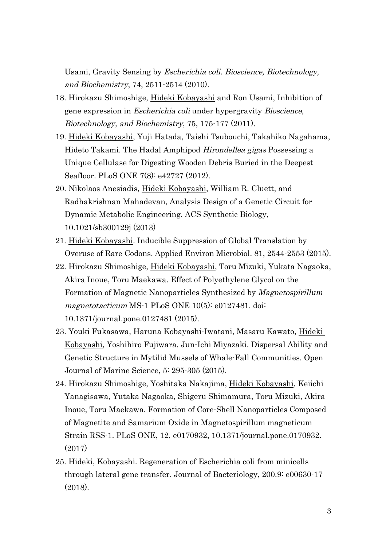Usami, Gravity Sensing by Escherichia coli. Bioscience, Biotechnology, and Biochemistry, 74, 2511-2514 (2010).

- 18. Hirokazu Shimoshige, Hideki Kobayashi and Ron Usami, Inhibition of gene expression in Escherichia coli under hypergravity Bioscience, Biotechnology, and Biochemistry, 75, 175-177 (2011).
- 19. Hideki Kobayashi, Yuji Hatada, Taishi Tsubouchi, Takahiko Nagahama, Hideto Takami. The Hadal Amphipod Hirondellea gigas Possessing a Unique Cellulase for Digesting Wooden Debris Buried in the Deepest Seafloor. PLoS ONE 7(8): e42727 (2012).
- 20. Nikolaos Anesiadis, Hideki Kobayashi, William R. Cluett, and Radhakrishnan Mahadevan, Analysis Design of a Genetic Circuit for Dynamic Metabolic Engineering. ACS Synthetic Biology, 10.1021/sb300129j (2013)
- 21. Hideki Kobayashi. Inducible Suppression of Global Translation by Overuse of Rare Codons. Applied Environ Microbiol. 81, 2544-2553 (2015).
- 22. Hirokazu Shimoshige, Hideki Kobayashi, Toru Mizuki, Yukata Nagaoka, Akira Inoue, Toru Maekawa. Effect of Polyethylene Glycol on the Formation of Magnetic Nanoparticles Synthesized by Magnetospirillum magnetotacticum MS-1 PLoS ONE 10(5): e0127481. doi: 10.1371/journal.pone.0127481 (2015).
- 23. Youki Fukasawa, Haruna Kobayashi-Iwatani, Masaru Kawato, Hideki Kobayashi, Yoshihiro Fujiwara, Jun-Ichi Miyazaki. Dispersal Ability and Genetic Structure in Mytilid Mussels of Whale-Fall Communities. Open Journal of Marine Science, 5: 295-305 (2015).
- 24. Hirokazu Shimoshige, Yoshitaka Nakajima, Hideki Kobayashi, Keiichi Yanagisawa, Yutaka Nagaoka, Shigeru Shimamura, Toru Mizuki, Akira Inoue, Toru Maekawa. Formation of Core-Shell Nanoparticles Composed of Magnetite and Samarium Oxide in Magnetospirillum magneticum Strain RSS-1. PLoS ONE, 12, e0170932, 10.1371/journal.pone.0170932. (2017)
- 25. Hideki, Kobayashi. Regeneration of Escherichia coli from minicells through lateral gene transfer. Journal of Bacteriology, 200.9: e00630-17 (2018).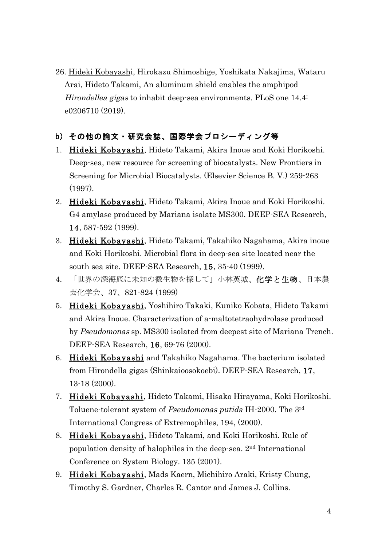26. Hideki Kobayashi, Hirokazu Shimoshige, Yoshikata Nakajima, Wataru Arai, Hideto Takami, An aluminum shield enables the amphipod Hirondellea gigas to inhabit deep-sea environments. PLoS one 14.4: e0206710 (2019).

## b) その他の論文・研究会誌、国際学会プロシーディング等

- 1. Hideki Kobayashi, Hideto Takami, Akira Inoue and Koki Horikoshi. Deep-sea, new resource for screening of biocatalysts. New Frontiers in Screening for Microbial Biocatalysts. (Elsevier Science B. V.) 259-263 (1997).
- 2. Hideki Kobayashi, Hideto Takami, Akira Inoue and Koki Horikoshi. G4 amylase produced by Mariana isolate MS300. DEEP-SEA Research, 14, 587-592 (1999).
- 3. Hideki Kobayashi, Hideto Takami, Takahiko Nagahama, Akira inoue and Koki Horikoshi. Microbial flora in deep-sea site located near the south sea site. DEEP-SEA Research, 15, 35-40 (1999).
- 4. 「世界の深海底に未知の微生物を探して」小林英城、化学と生物、日本農 芸化学会、37、821-824 (1999)
- 5. Hideki Kobayashi, Yoshihiro Takaki, Kuniko Kobata, Hideto Takami and Akira Inoue. Characterization of a-maltotetraohydrolase produced by Pseudomonas sp. MS300 isolated from deepest site of Mariana Trench. DEEP-SEA Research, 16, 69-76 (2000).
- 6. Hideki Kobayashi and Takahiko Nagahama. The bacterium isolated from Hirondella gigas (Shinkaioosokoebi). DEEP-SEA Research, 17, 13-18 (2000).
- 7. Hideki Kobayashi, Hideto Takami, Hisako Hirayama, Koki Horikoshi. Toluene-tolerant system of Pseudomonas putida IH-2000. The 3rd International Congress of Extremophiles, 194, (2000).
- 8. Hideki Kobayashi, Hideto Takami, and Koki Horikoshi. Rule of population density of halophiles in the deep-sea. 2nd International Conference on System Biology. 135 (2001).
- 9. Hideki Kobayashi, Mads Kaern, Michihiro Araki, Kristy Chung, Timothy S. Gardner, Charles R. Cantor and James J. Collins.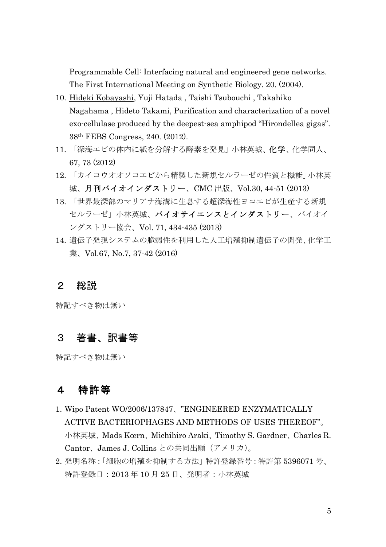Programmable Cell: Interfacing natural and engineered gene networks. The First International Meeting on Synthetic Biology. 20. (2004).

- 10. Hideki Kobayashi, Yuji Hatada , Taishi Tsubouchi , Takahiko Nagahama , Hideto Takami, Purification and characterization of a novel exo-cellulase produced by the deepest-sea amphipod "Hirondellea gigas". 38th FEBS Congress, 240. (2012).
- 11. 「深海エビの体内に紙を分解する酵素を発見」小林英城、化学、化学同人、 67, 73 (2012)
- 12. 「カイコウオオソコエビから精製した新規セルラーゼの性質と機能」小林英 城、月刊バイオインダストリー、CMC 出版、Vol.30, 44-51 (2013)
- 13. 「世界最深部のマリアナ海溝に生息する超深海性ヨコエビが生産する新規 セルラーゼ」小林英城、バイオサイエンスとインダストリー、バイオイ ンダストリー協会、Vol. 71, 434-435 (2013)
- 14. 遺伝子発現システムの脆弱性を利用した人工増殖抑制遺伝子の開発、化学工 業、Vol.67, No.7, 37-42 (2016)

### 2 総説

特記すべき物は無い

## 3 著書、訳書等

特記すべき物は無い

# 4 特許等

- 1. Wipo Patent WO/2006/137847、"ENGINEERED ENZYMATICALLY ACTIVE BACTERIOPHAGES AND METHODS OF USES THEREOF"。 小林英城、Mads Kœrn、Michihiro Araki、Timothy S. Gardner、Charles R. Cantor、James J. Collins との共同出願(アメリカ)。
- 2. 発明名称:「細胞の増殖を抑制する方法」特許登録番号:特許第 5396071 号、 特許登録日:2013 年 10 月 25 日、発明者:小林英城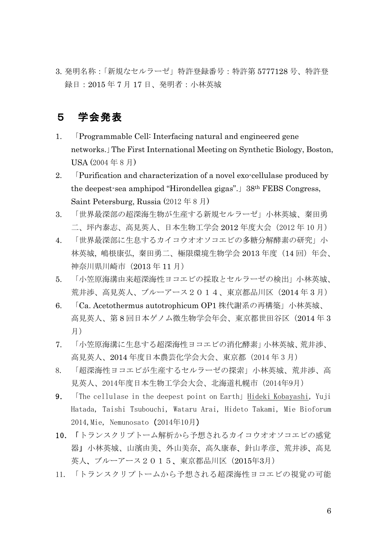3. 発明名称:「新規なセルラーゼ」特許登録番号:特許第 5777128 号、特許登 録日:2015 年 7 月 17 日、発明者:小林英城

# 5 学会発表

- 1. 「Programmable Cell: Interfacing natural and engineered gene networks.」The First International Meeting on Synthetic Biology, Boston, USA (2004 年 8 月)
- 2. 「Purification and characterization of a novel exo-cellulase produced by the deepest-sea amphipod "Hirondellea gigas".」38th FEBS Congress, Saint Petersburg, Russia (2012 年 8 月)
- 3. 「世界最深部の超深海生物が生産する新規セルラーゼ」小林英城、秦田勇 二、坪内泰志、高見英人、日本生物工学会 2012 年度大会(2012 年 10 月)
- 4. 「世界最深部に生息するカイコウオオソコエビの多糖分解酵素の研究」小 林英城, 嶋根康弘, 秦田勇二、極限環境生物学会 2013年度 (14 回) 年会、 神奈川県川崎市(2013 年 11 月)
- 5. 「小笠原海溝由来超深海性ヨコエビの採取とセルラーゼの検出」小林英城、 荒井渉、高見英人、ブルーアース2014、東京都品川区(2014 年 3 月)
- 6. 「Ca. Acetothermus autotrophicum OP1 株代謝系の再構築」小林英城、 高見英人、第 8 回日本ゲノム微生物学会年会、東京都世田谷区(2014 年 3 月)
- 7. 「小笠原海溝に生息する超深海性ヨコエビの消化酵素」小林英城、荒井渉、 高見英人、2014 年度日本農芸化学会大会、東京都(2014 年 3 月)
- 8. 「超深海性ヨコエビが生産するセルラーゼの探索」小林英城、荒井渉、高 見英人、2014年度日本生物工学会大会、北海道札幌市(2014年9月)
- 9. The cellulase in the deepest point on Earth! Hideki Kobayashi, Yuji Hatada, Taishi Tsubouchi, Wataru Arai, Hideto Takami, Mie Bioforum 2014, Mie, Nemunosato (2014年10月)
- 10. 「トランスクリプトーム解析から予想されるカイコウオオソコエビの感覚 器」小林英城、山濱由美、外山美奈、高久康春、針山孝彦、荒井渉、高見 英人、ブルーアース2015、東京都品川区(2015年3月)
- 11. 「トランスクリプトームから予想される超深海性ヨコエビの視覚の可能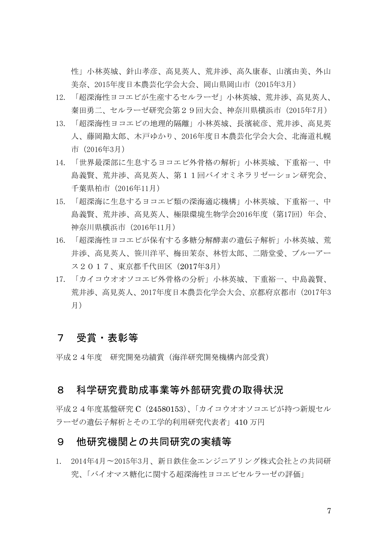性」小林英城、針山孝彦、高見英人、荒井渉、高久康春、山濱由美、外山 美奈、2015年度日本農芸化学会大会、岡山県岡山市(2015年3月)

- 12. 「超深海性ヨコエビが生産するセルラーゼ」小林英城、荒井渉、高見英人、 秦田勇二、セルラーゼ研究会第29回大会、神奈川県横浜市(2015年7月)
- 13. 「超深海性ヨコエビの地理的隔離」小林英城、長濱統彦、荒井渉、高見英 人、藤岡勘太郎、木戸ゆかり、2016年度日本農芸化学会大会、北海道札幌 市(2016年3月)
- 14. 「世界最深部に生息するヨコエビ外骨格の解析」小林英城、下重裕一、中 島義賢、荒井渉、高見英人、第11回バイオミネラリゼーション研究会、 千葉県柏市(2016年11月)
- 15. 「超深海に生息するヨコエビ類の深海適応機構」小林英城、下重裕一、中 島義賢、荒井渉、高見英人、極限環境生物学会2016年度(第17回)年会、 神奈川県横浜市(2016年11月)
- 16. 「超深海性ヨコエビが保有する多糖分解酵素の遺伝子解析」小林英城、荒 井渉、高見英人、笹川洋平、梅田茉奈、林哲太郎、二階堂愛、ブルーアー ス2017、東京都千代田区(2017年3月)
- 17. 「カイコウオオソコエビ外骨格の分析」小林英城、下重裕一、中島義賢、 荒井渉、高見英人、2017年度日本農芸化学会大会、京都府京都市(2017年3 月)

## 7 受賞・表彰等

平成24年度 研究開発功績賞(海洋研究開発機構内部受賞)

## 8 科学研究費助成事業等外部研究費の取得状況

平成24年度基盤研究 C (24580153)、「カイコウオオソコエビが持つ新規セル ラーゼの遺伝子解析とその工学的利用研究代表者」410 万円

### 9 他研究機関との共同研究の実績等

1. 2014年4月〜2015年3月、新日鉄住金エンジニアリング株式会社との共同研 究、「バイオマス糖化に関する超深海性ヨコエビセルラーゼの評価」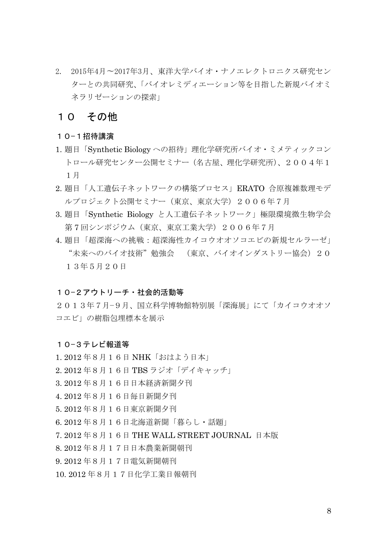2. 2015年4月〜2017年3月、東洋大学バイオ・ナノエレクトロニクス研究セン ターとの共同研究、「バイオレミディエーション等を目指した新規バイオミ ネラリゼーションの探索」

### 10 その他

#### 10−1招待講演

- 1. 題目「Synthetic Biology への招待」理化学研究所バイオ・ミメティックコン トロール研究センター公開セミナー(名古屋、理化学研究所)、2004年1 1月
- 2. 題目「人工遺伝子ネットワークの構築プロセス」ERATO 合原複雑数理モデ ルプロジェクト公開セミナー(東京、東京大学)2006年7月
- 3. 題目「Synthetic Biology と人工遺伝子ネットワーク」極限環境微生物学会 第7回シンポジウム(東京、東京工業大学) 2006年7月
- 4. 題目「超深海への挑戦:超深海性カイコウオオソコエビの新規セルラーゼ」 "未来へのバイオ技術"勉強会 (東京、バイオインダストリー協会)20 13年5月20日

#### 10−2アウトリーチ・社会的活動等

2013年7月−9月、国立科学博物館特別展「深海展」にて「カイコウオオソ コエビ」の樹脂包埋標本を展示

#### 10−3テレビ報道等

1. 2012 年8月16日 NHK「おはよう日本」 2. 2012 年8月16日 TBS ラジオ「デイキャッチ」 3. 2012 年8月16日日本経済新聞夕刊 4. 2012 年8月16日毎日新聞夕刊 5. 2012 年8月16日東京新聞夕刊 6. 2012 年8月16日北海道新聞「暮らし・話題」 7. 2012 年8月16日 THE WALL STREET JOURNAL 日本版 8. 2012 年8月17日日本農業新聞朝刊 9. 2012 年8月17日電気新聞朝刊 10. 2012 年8月17日化学工業日報朝刊